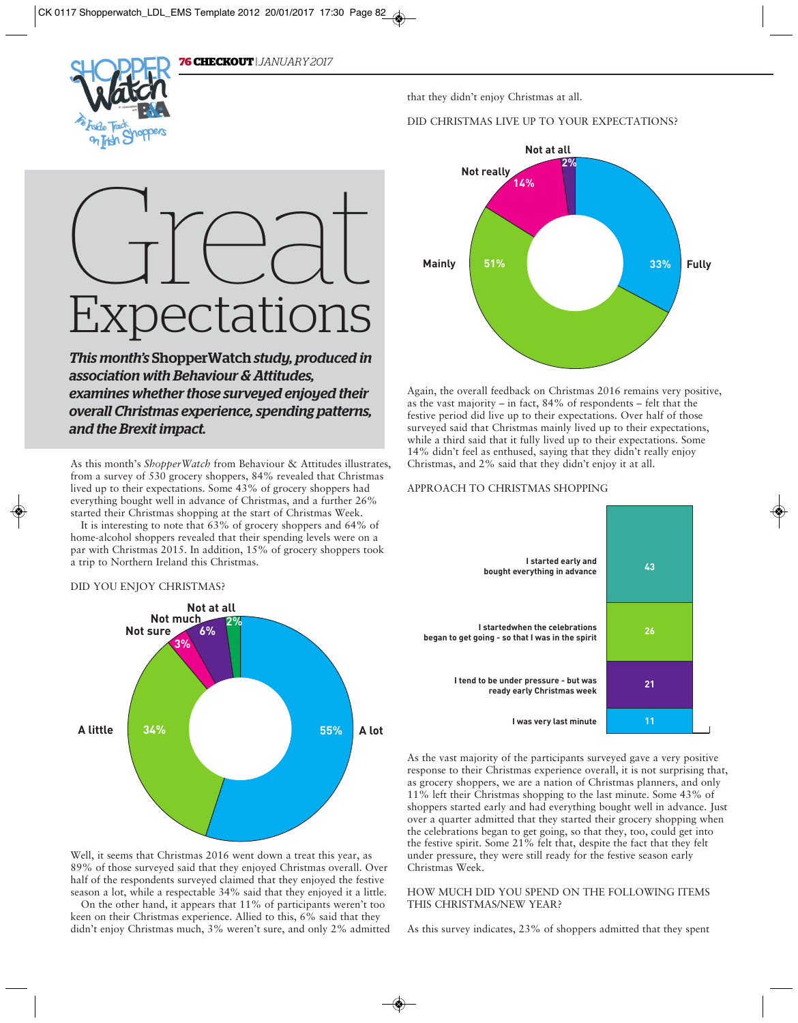

that they didn't enjoy Christmas at all.

#### DID CHRISTMAS LIVE UP TO YOUR EXPECTATIONS?



Again, the overall feedback on Christmas 2016 remains very positive, as the vast majority – in fact, 84% of respondents – felt that the festive period did live up to their expectations. Over half of those surveyed said that Christmas mainly lived up to their expectations, while a third said that it fully lived up to their expectations. Some 14% didn't feel as enthused, saying that they didn't really enjoy Christmas, and 2% said that they didn't enjoy it at all.

#### APPROACH TO CHRISTMAS SHOPPING



As the vast majority of the participants surveyed gave a very positive response to their Christmas experience overall, it is not surprising that, as grocery shoppers, we are a nation of Christmas planners, and only 11% left their Christmas shopping to the last minute. Some 43% of shoppers started early and had everything bought well in advance. Just over a quarter admitted that they started their grocery shopping when the celebrations began to get going, so that they, too, could get into the festive spirit. Some 21% felt that, despite the fact that they felt under pressure, they were still ready for the festive season early Christmas Week.

#### HOW MUCH DID YOU SPEND ON THE FOLLOWING ITEMS THIS CHRISTMAS/NEW YEAR?

As this survey indicates, 23% of shoppers admitted that they spent

# Great Expectations

*This month's* ShopperWatch *study, produced in association with Behaviour & Attitudes, examines whether those surveyed enjoyed their overall Christmas experience, spending patterns, and the Brexit impact.* 

As this month's *ShopperWatch* from Behaviour & Attitudes illustrates, from a survey of 530 grocery shoppers, 84% revealed that Christmas lived up to their expectations. Some 43% of grocery shoppers had everything bought well in advance of Christmas, and a further 26% started their Christmas shopping at the start of Christmas Week.

It is interesting to note that 63% of grocery shoppers and 64% of home-alcohol shoppers revealed that their spending levels were on a par with Christmas 2015. In addition, 15% of grocery shoppers took a trip to Northern Ireland this Christmas.

#### DID YOU ENJOY CHRISTMAS?



Well, it seems that Christmas 2016 went down a treat this year, as 89% of those surveyed said that they enjoyed Christmas overall. Over half of the respondents surveyed claimed that they enjoyed the festive season a lot, while a respectable 34% said that they enjoyed it a little.

On the other hand, it appears that 11% of participants weren't too keen on their Christmas experience. Allied to this, 6% said that they didn't enjoy Christmas much, 3% weren't sure, and only 2% admitted